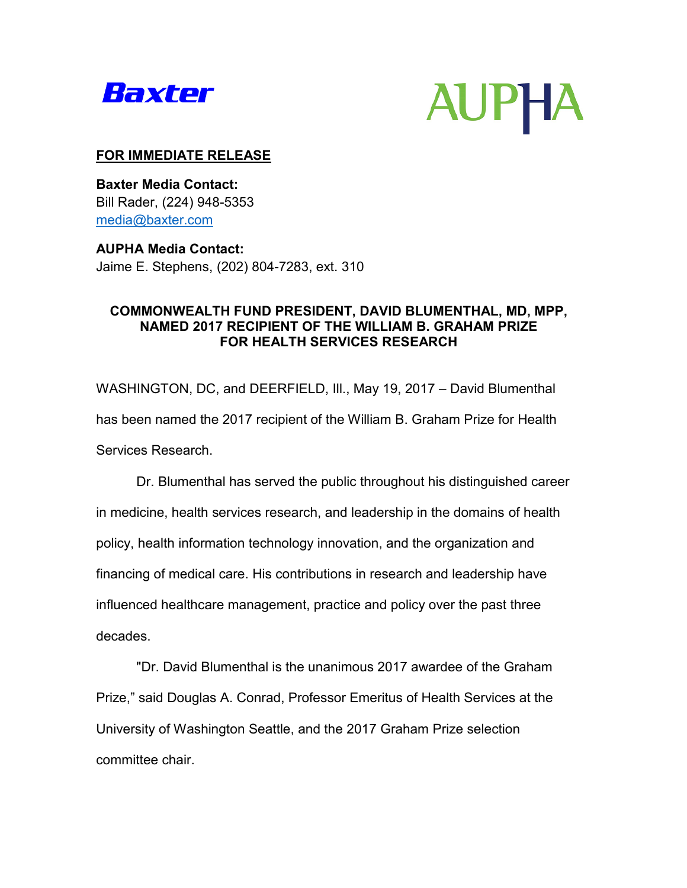



# **FOR IMMEDIATE RELEASE**

**Baxter Media Contact:**  Bill Rader, (224) 948-5353 [media@baxter.com](mailto:media@baxter.com)

**AUPHA Media Contact:** Jaime E. Stephens, (202) 804-7283, ext. 310

# **COMMONWEALTH FUND PRESIDENT, DAVID BLUMENTHAL, MD, MPP, NAMED 2017 RECIPIENT OF THE WILLIAM B. GRAHAM PRIZE FOR HEALTH SERVICES RESEARCH**

WASHINGTON, DC, and DEERFIELD, Ill., May 19, 2017 – David Blumenthal has been named the 2017 recipient of the William B. Graham Prize for Health Services Research.

Dr. Blumenthal has served the public throughout his distinguished career in medicine, health services research, and leadership in the domains of health policy, health information technology innovation, and the organization and financing of medical care. His contributions in research and leadership have influenced healthcare management, practice and policy over the past three decades.

"Dr. David Blumenthal is the unanimous 2017 awardee of the Graham Prize," said Douglas A. Conrad, Professor Emeritus of Health Services at the University of Washington Seattle, and the 2017 Graham Prize selection committee chair.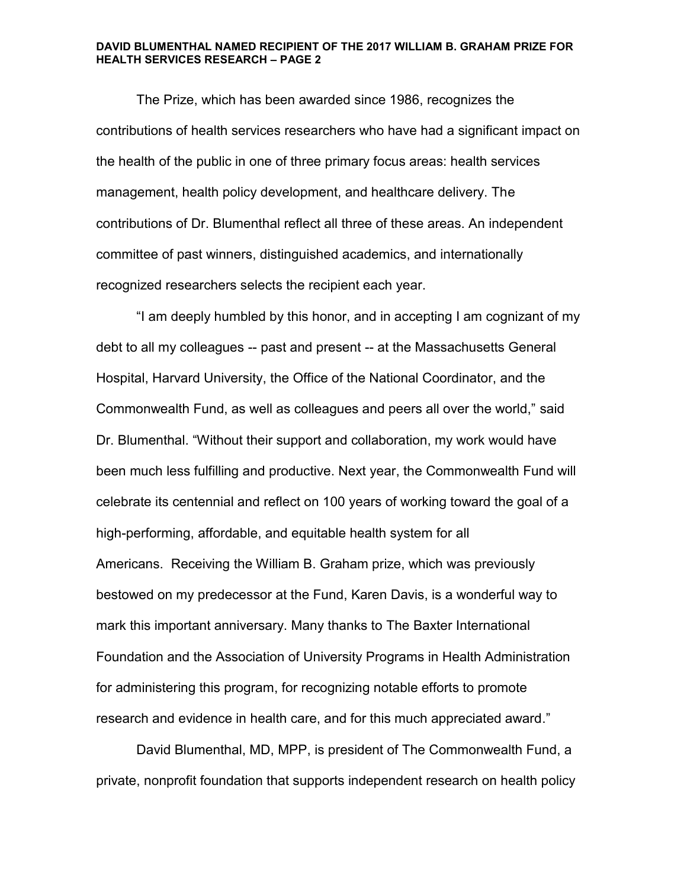The Prize, which has been awarded since 1986, recognizes the contributions of health services researchers who have had a significant impact on the health of the public in one of three primary focus areas: health services management, health policy development, and healthcare delivery. The contributions of Dr. Blumenthal reflect all three of these areas. An independent committee of past winners, distinguished academics, and internationally recognized researchers selects the recipient each year.

"I am deeply humbled by this honor, and in accepting I am cognizant of my debt to all my colleagues -- past and present -- at the Massachusetts General Hospital, Harvard University, the Office of the National Coordinator, and the Commonwealth Fund, as well as colleagues and peers all over the world," said Dr. Blumenthal. "Without their support and collaboration, my work would have been much less fulfilling and productive. Next year, the Commonwealth Fund will celebrate its centennial and reflect on 100 years of working toward the goal of a high-performing, affordable, and equitable health system for all Americans. Receiving the William B. Graham prize, which was previously bestowed on my predecessor at the Fund, Karen Davis, is a wonderful way to mark this important anniversary. Many thanks to The Baxter International Foundation and the Association of University Programs in Health Administration for administering this program, for recognizing notable efforts to promote research and evidence in health care, and for this much appreciated award."

David Blumenthal, MD, MPP, is president of The Commonwealth Fund, a private, nonprofit foundation that supports independent research on health policy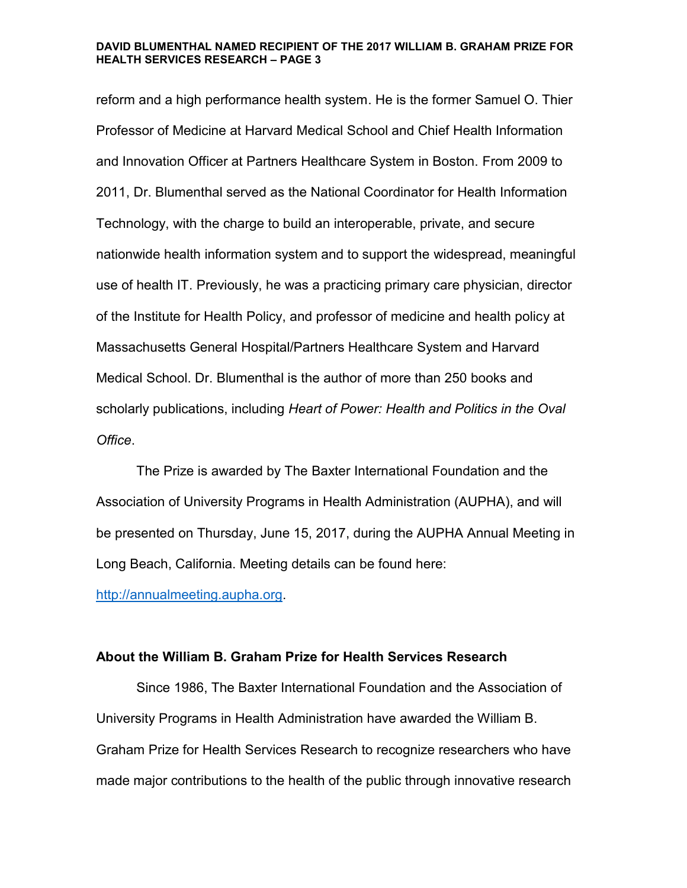reform and a high performance health system. He is the former Samuel O. Thier Professor of Medicine at Harvard Medical School and Chief Health Information and Innovation Officer at Partners Healthcare System in Boston. From 2009 to 2011, Dr. Blumenthal served as the National Coordinator for Health Information Technology, with the charge to build an interoperable, private, and secure nationwide health information system and to support the widespread, meaningful use of health IT. Previously, he was a practicing primary care physician, director of the Institute for Health Policy, and professor of medicine and health policy at Massachusetts General Hospital/Partners Healthcare System and Harvard Medical School. Dr. Blumenthal is the author of more than 250 books and scholarly publications, including *Heart of Power: Health and Politics in the Oval Office*.

The Prize is awarded by The Baxter International Foundation and the Association of University Programs in Health Administration (AUPHA), and will be presented on Thursday, June 15, 2017, during the AUPHA Annual Meeting in Long Beach, California. Meeting details can be found here:

[http://annualmeeting.aupha.org.](http://annualmeeting.aupha.org/)

## **About the William B. Graham Prize for Health Services Research**

Since 1986, The Baxter International Foundation and the Association of University Programs in Health Administration have awarded the William B. Graham Prize for Health Services Research to recognize researchers who have made major contributions to the health of the public through innovative research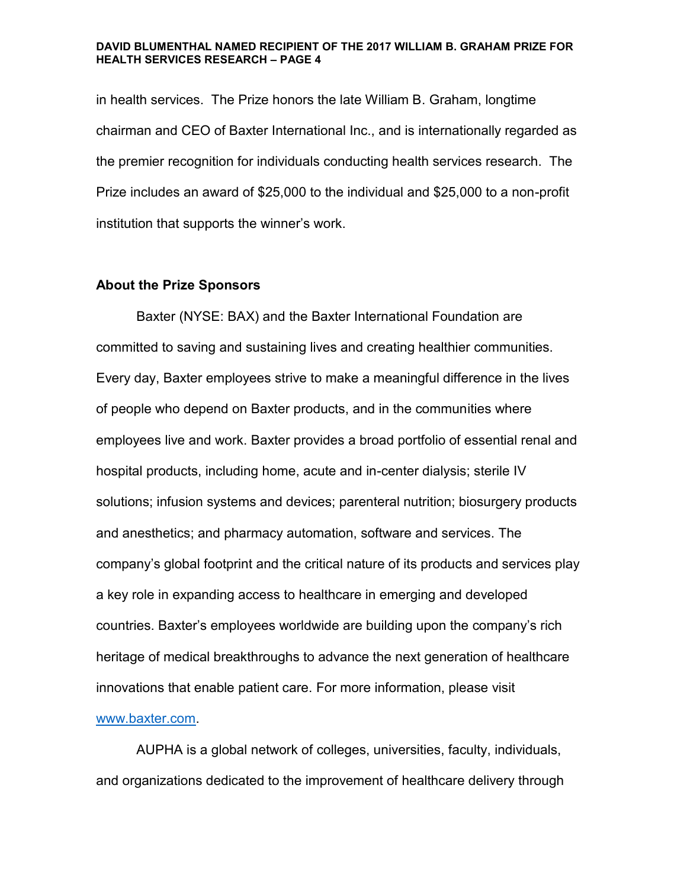in health services. The Prize honors the late William B. Graham, longtime chairman and CEO of Baxter International Inc., and is internationally regarded as the premier recognition for individuals conducting health services research. The Prize includes an award of \$25,000 to the individual and \$25,000 to a non-profit institution that supports the winner's work.

## **About the Prize Sponsors**

Baxter (NYSE: BAX) and the Baxter International Foundation are committed to saving and sustaining lives and creating healthier communities. Every day, Baxter employees strive to make a meaningful difference in the lives of people who depend on Baxter products, and in the communities where employees live and work. Baxter provides a broad portfolio of essential renal and hospital products, including home, acute and in-center dialysis; sterile IV solutions; infusion systems and devices; parenteral nutrition; biosurgery products and anesthetics; and pharmacy automation, software and services. The company's global footprint and the critical nature of its products and services play a key role in expanding access to healthcare in emerging and developed countries. Baxter's employees worldwide are building upon the company's rich heritage of medical breakthroughs to advance the next generation of healthcare innovations that enable patient care. For more information, please visit

### [www.baxter.com.](http://www.baxter.com/)

AUPHA is a global network of colleges, universities, faculty, individuals, and organizations dedicated to the improvement of healthcare delivery through